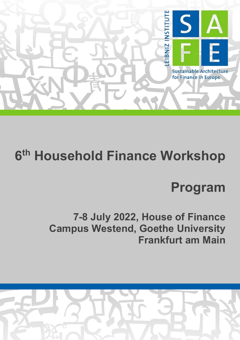

# **6th Household Finance Workshop**

## **Program**

**7-8 July 2022, House of Finance Campus Westend, Goethe University Frankfurt am Main**

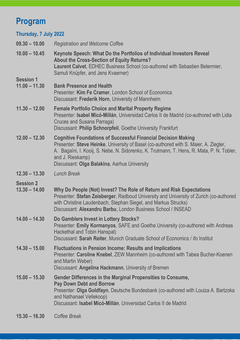## **Program**

### **Thursday, 7 July 2022**

| $09.30 - 10.00$                     | <b>Registration and Welcome Coffee</b>                                                                                                                                                                                                                                                                                        |
|-------------------------------------|-------------------------------------------------------------------------------------------------------------------------------------------------------------------------------------------------------------------------------------------------------------------------------------------------------------------------------|
| $10.00 - 10.45$                     | Keynote Speech: What Do the Portfolios of Individual Investors Reveal<br><b>About the Cross-Section of Equity Returns?</b><br>Laurent Calvet, EDHEC Business School (co-authored with Sebastien Betermier,<br>Samuli Knüpfer, and Jens Kvaerner)                                                                              |
| <b>Session 1</b><br>$11.00 - 11.30$ | <b>Bank Presence and Health</b><br>Presenter: Kim Fe Cramer, London School of Economics<br>Discussant: Frederik Horn, University of Mannheim                                                                                                                                                                                  |
| $11.30 - 12.00$                     | <b>Female Portfolio Choice and Marital Property Regime</b><br>Presenter: Isabel Micó-Millán, Universidad Carlos II de Madrid (co-authored with Lidia<br><b>Cruces and Susana Parraga)</b><br>Discussant: Philip Schnorpfeil, Goethe University Frankfurt                                                                      |
| $12.00 - 12.30$                     | <b>Cognitive Foundations of Successful Financial Decision Making</b><br>Presenter: Steve Heinke, University of Basel (co-authored with S. Maier, A. Ziegler,<br>A. Bagaïni, I. Kooij, S. Nebe, N. Sidorenko, K. Trutmann, T. Hens, R. Mata, P. N. Tobler,<br>and J. Rieskamp)<br>Discussant: Olga Balakina, Aarhus University |
| $12.30 - 13.30$                     | <b>Lunch Break</b>                                                                                                                                                                                                                                                                                                            |
| <b>Session 2</b><br>$13.30 - 14.00$ | Why Do People (Not) Invest? The Role of Return and Risk Expectations<br>Presenter: Stefan Zeisberger, Radboud University and University of Zurich (co-authored<br>with Christine Laudenbach, Stephan Siegel, and Markus Strucks)<br>Discussant: Alexandru Barbu, London Business School / INSEAD                              |
| $14.00 - 14.30$                     | Do Gamblers Invest in Lottery Stocks?<br>Presenter: Emily Kormanyos, SAFE and Goethe University (co-authored with Andreas<br>Hackethal and Tobin Hanspal)<br>Discussant: Sarah Reiter, Munich Graduate School of Economics / ifo Institut                                                                                     |
| $14.30 - 15.00$                     | <b>Fluctuations in Pension Income: Results and Implications</b><br>Presenter: Caroline Knebel, ZEW Mannheim (co-authored with Tabea Bucher-Koenen<br>and Martin Weber)<br>Discussant: Angelina Hackmann, University of Bremen                                                                                                 |
| $15.00 - 15.30$                     | Gender Differences in the Marginal Propensities to Consume,<br><b>Pay Down Debt and Borrow</b><br>Presenter: Olga Goldfayn, Deutsche Bundesbank (co-authored with Louiza A. Bartzoka<br>and Nathanael Vellekoop)<br>Discussant: Isabel Micó-Millán, Universidad Carlos II de Madrid                                           |
|                                     |                                                                                                                                                                                                                                                                                                                               |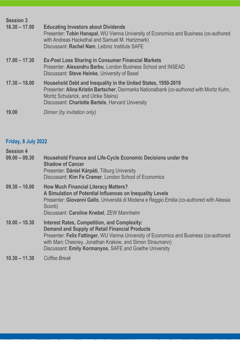| <b>Session 3</b> |                                                                                                                                                                                                                                                         |
|------------------|---------------------------------------------------------------------------------------------------------------------------------------------------------------------------------------------------------------------------------------------------------|
| $16.30 - 17.00$  | <b>Educating Investors about Dividends</b><br>Presenter: Tobin Hanspal, WU Vienna University of Economics and Business (co-authored<br>with Andreas Hackethal and Samuel M. Hartzmark)<br>Discussant: Rachel Nam, Leibniz Institute SAFE                |
| $17.00 - 17.30$  | <b>Ex-Post Loss Sharing in Consumer Financial Markets</b><br>Presenter: Alexandru Barbu, London Business School and INSEAD<br>Discussant: Steve Heinke, University of Basel                                                                             |
| $17.30 - 18.00$  | Household Debt and Inequality in the United States, 1950-2019<br>Presenter: Alina Kristin Bartscher, Danmarks Nationalbank (co-authored with Moritz Kuhn,<br>Moritz Schularick, and Ulrike Steins)<br>Discussant: Charlotte Bartels, Harvard University |
| 19.00            | Dinner (by invitation only)                                                                                                                                                                                                                             |

### **Friday, 8 July 2022**

| <b>Session 4</b> |                                                                                                                                                                                                                                                                                                                                |
|------------------|--------------------------------------------------------------------------------------------------------------------------------------------------------------------------------------------------------------------------------------------------------------------------------------------------------------------------------|
| $09.00 - 09.30$  | Household Finance and Life-Cycle Economic Decisions under the<br><b>Shadow of Cancer</b><br>Presenter: Dániel Kárpáti, Tilburg University<br>Discussant: Kim Fe Cramer, London School of Economics                                                                                                                             |
| $09.30 - 10.00$  | <b>How Much Financial Literacy Matters?</b><br>A Simulation of Potential Influences on Inequality Levels<br>Presenter: Giovanni Gallo, Università di Modena e Reggio Emilia (co-authored with Alessia<br>Sconti)<br>Discussant: Caroline Knebel, ZEW Mannheim                                                                  |
| $10.00 - 10.30$  | <b>Interest Rates, Competition, and Complexity:</b><br><b>Demand and Supply of Retail Financial Products</b><br>Presenter: Felix Fattinger, WU Vienna University of Economics and Business (co-authored<br>with Marc Chesney, Jonathan Krakow, and Simon Straumann)<br>Discussant: Emily Kormanyos, SAFE and Goethe University |
| $10.30 - 11.30$  | Coffee Break                                                                                                                                                                                                                                                                                                                   |